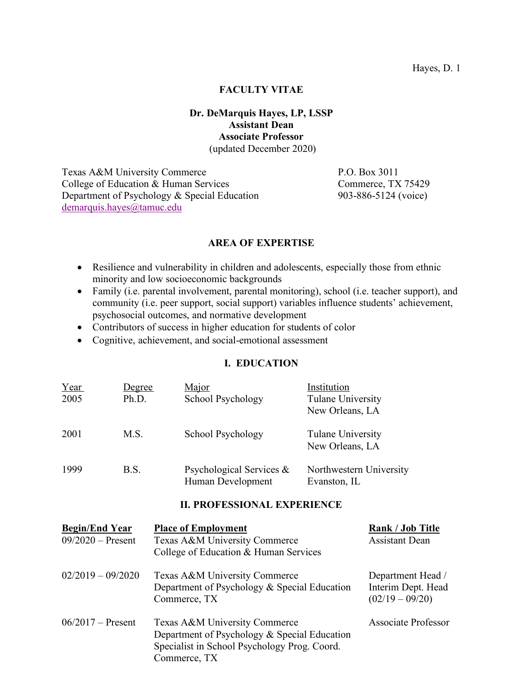#### **FACULTY VITAE**

#### **Dr. DeMarquis Hayes, LP, LSSP Assistant Dean Associate Professor** (updated December 2020)

Texas A&M University Commerce P.O. Box 3011 College of Education & Human Services Commerce, TX 75429 Department of Psychology & Special Education 903-886-5124 (voice) demarquis.hayes@tamuc.edu

#### **AREA OF EXPERTISE**

- Resilience and vulnerability in children and adolescents, especially those from ethnic minority and low socioeconomic backgrounds
- Family (i.e. parental involvement, parental monitoring), school (i.e. teacher support), and community (i.e. peer support, social support) variables influence students' achievement, psychosocial outcomes, and normative development
- Contributors of success in higher education for students of color
- Cognitive, achievement, and social-emotional assessment

# **I. EDUCATION**

| Year<br>2005 | Degree<br>Ph.D. | Major<br>School Psychology                    | Institution<br>Tulane University<br>New Orleans, LA |
|--------------|-----------------|-----------------------------------------------|-----------------------------------------------------|
| 2001         | M.S.            | School Psychology                             | Tulane University<br>New Orleans, LA                |
| 1999         | B.S.            | Psychological Services &<br>Human Development | Northwestern University<br>Evanston, IL             |

# **II. PROFESSIONAL EXPERIENCE**

| <b>Begin/End Year</b><br>$09/2020$ – Present | <b>Place of Employment</b><br>Texas A&M University Commerce<br>College of Education & Human Services                                          | <b>Rank / Job Title</b><br><b>Assistant Dean</b>             |
|----------------------------------------------|-----------------------------------------------------------------------------------------------------------------------------------------------|--------------------------------------------------------------|
| $02/2019 - 09/2020$                          | Texas A&M University Commerce<br>Department of Psychology & Special Education<br>Commerce, TX                                                 | Department Head /<br>Interim Dept. Head<br>$(02/19 - 09/20)$ |
| $06/2017 -$ Present                          | Texas A&M University Commerce<br>Department of Psychology & Special Education<br>Specialist in School Psychology Prog. Coord.<br>Commerce, TX | Associate Professor                                          |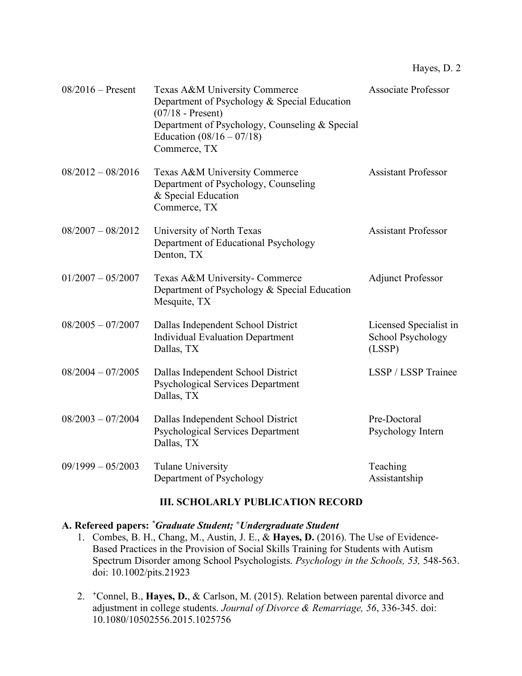| $08/2016$ – Present | Texas A&M University Commerce<br>Department of Psychology & Special Education<br>$(07/18 -$ Present)<br>Department of Psychology, Counseling & Special<br>Education $(08/16 - 07/18)$<br>Commerce, TX | <b>Associate Professor</b>                            |
|---------------------|-------------------------------------------------------------------------------------------------------------------------------------------------------------------------------------------------------|-------------------------------------------------------|
| $08/2012 - 08/2016$ | Texas A&M University Commerce<br>Department of Psychology, Counseling<br>& Special Education<br>Commerce, TX                                                                                          | <b>Assistant Professor</b>                            |
| $08/2007 - 08/2012$ | University of North Texas<br>Department of Educational Psychology<br>Denton, TX                                                                                                                       | <b>Assistant Professor</b>                            |
| $01/2007 - 05/2007$ | Texas A&M University- Commerce<br>Department of Psychology & Special Education<br>Mesquite, TX                                                                                                        | <b>Adjunct Professor</b>                              |
| $08/2005 - 07/2007$ | Dallas Independent School District<br><b>Individual Evaluation Department</b><br>Dallas, TX                                                                                                           | Licensed Specialist in<br>School Psychology<br>(LSSP) |
| $08/2004 - 07/2005$ | Dallas Independent School District<br><b>Psychological Services Department</b><br>Dallas, TX                                                                                                          | LSSP / LSSP Trainee                                   |
| $08/2003 - 07/2004$ | Dallas Independent School District<br><b>Psychological Services Department</b><br>Dallas, TX                                                                                                          | Pre-Doctoral<br>Psychology Intern                     |
| $09/1999 - 05/2003$ | <b>Tulane University</b><br>Department of Psychology                                                                                                                                                  | Teaching<br>Assistantship                             |

# **III. SCHOLARLY PUBLICATION RECORD**

#### **A. Refereed papers:** *\*Graduate Student; +Undergraduate Student*

- 1. Combes, B. H., Chang, M., Austin, J. E., & **Hayes, D.** (2016). The Use of Evidence-Based Practices in the Provision of Social Skills Training for Students with Autism Spectrum Disorder among School Psychologists. *Psychology in the Schools, 53,* 548-563. doi: 10.1002/pits.21923
- 2. *<sup>+</sup>*Connel, B., **Hayes, D.**, & Carlson, M. (2015). Relation between parental divorce and adjustment in college students. *Journal of Divorce & Remarriage, 56*, 336-345. doi: 10.1080/10502556.2015.1025756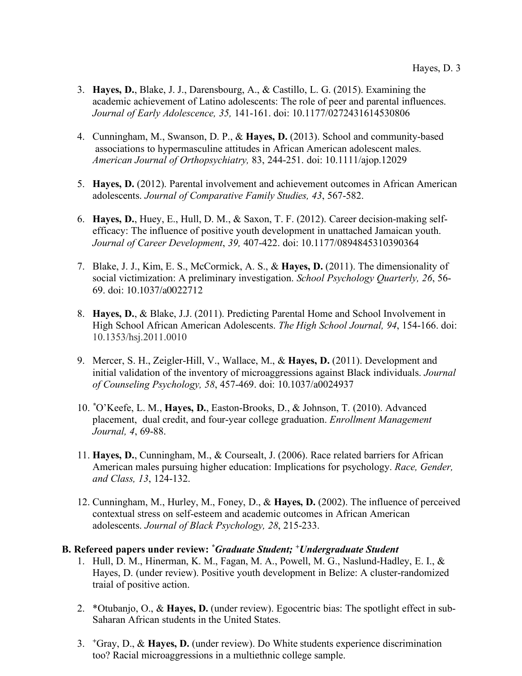- 3. **Hayes, D.**, Blake, J. J., Darensbourg, A., & Castillo, L. G. (2015). Examining the academic achievement of Latino adolescents: The role of peer and parental influences. *Journal of Early Adolescence, 35,* 141-161. doi: 10.1177/0272431614530806
- 4. Cunningham, M., Swanson, D. P., & **Hayes, D.** (2013). School and community-based associations to hypermasculine attitudes in African American adolescent males. *American Journal of Orthopsychiatry,* 83, 244-251. doi: 10.1111/ajop.12029
- 5. **Hayes, D.** (2012). Parental involvement and achievement outcomes in African American adolescents. *Journal of Comparative Family Studies, 43*, 567-582.
- 6. **Hayes, D.**, Huey, E., Hull, D. M., & Saxon, T. F. (2012). Career decision-making selfefficacy: The influence of positive youth development in unattached Jamaican youth. *Journal of Career Development*, *39,* 407-422. doi: 10.1177/0894845310390364
- 7. Blake, J. J., Kim, E. S., McCormick, A. S., & **Hayes, D.** (2011). The dimensionality of social victimization: A preliminary investigation. *School Psychology Quarterly, 26*, 56- 69. doi: 10.1037/a0022712
- 8. **Hayes, D.**, & Blake, J.J. (2011). Predicting Parental Home and School Involvement in High School African American Adolescents. *The High School Journal, 94*, 154-166. doi: 10.1353/hsj.2011.0010
- 9. Mercer, S. H., Zeigler-Hill, V., Wallace, M., & **Hayes, D.** (2011). Development and initial validation of the inventory of microaggressions against Black individuals. *Journal of Counseling Psychology, 58*, 457-469. doi: 10.1037/a0024937
- 10. *\**O'Keefe, L. M., **Hayes, D.**, Easton-Brooks, D., & Johnson, T. (2010). Advanced placement, dual credit, and four-year college graduation. *Enrollment Management Journal, 4*, 69-88.
- 11. **Hayes, D.**, Cunningham, M., & Coursealt, J. (2006). Race related barriers for African American males pursuing higher education: Implications for psychology. *Race, Gender, and Class, 13*, 124-132.
- 12. Cunningham, M., Hurley, M., Foney, D., & **Hayes, D.** (2002). The influence of perceived contextual stress on self-esteem and academic outcomes in African American adolescents. *Journal of Black Psychology, 28*, 215-233.

#### **B. Refereed papers under review:** *\*Graduate Student; +Undergraduate Student*

- 1. Hull, D. M., Hinerman, K. M., Fagan, M. A., Powell, M. G., Naslund-Hadley, E. I., & Hayes, D. (under review). Positive youth development in Belize: A cluster-randomized traial of positive action.
- 2. \*Otubanjo, O., & **Hayes, D.** (under review). Egocentric bias: The spotlight effect in sub-Saharan African students in the United States.
- 3. *<sup>+</sup>*Gray, D., & **Hayes, D.** (under review). Do White students experience discrimination too? Racial microaggressions in a multiethnic college sample.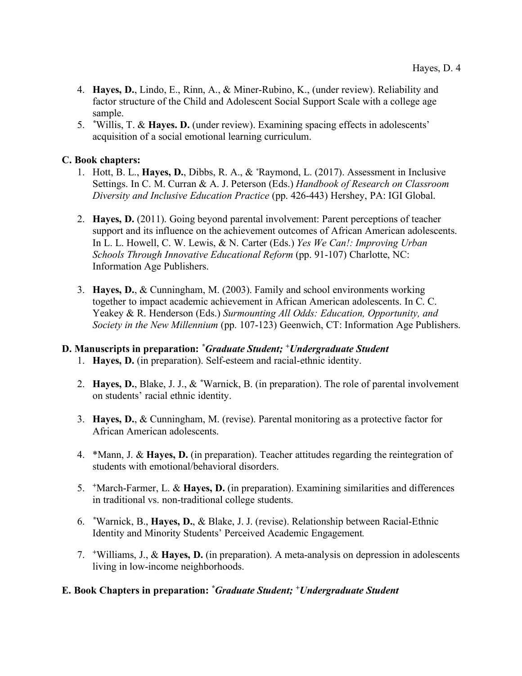- 4. **Hayes, D.**, Lindo, E., Rinn, A., & Miner-Rubino, K., (under review). Reliability and factor structure of the Child and Adolescent Social Support Scale with a college age sample.
- 5. *\** Willis, T. & **Hayes. D.** (under review). Examining spacing effects in adolescents' acquisition of a social emotional learning curriculum.

# **C. Book chapters:**

- 1. Hott, B. L., **Hayes, D.**, Dibbs, R. A., & *\** Raymond, L. (2017). Assessment in Inclusive Settings. In C. M. Curran & A. J. Peterson (Eds.) *Handbook of Research on Classroom Diversity and Inclusive Education Practice* (pp. 426-443) Hershey, PA: IGI Global.
- 2. **Hayes, D.** (2011). Going beyond parental involvement: Parent perceptions of teacher support and its influence on the achievement outcomes of African American adolescents. In L. L. Howell, C. W. Lewis, & N. Carter (Eds.) *Yes We Can!: Improving Urban Schools Through Innovative Educational Reform* (pp. 91-107) Charlotte, NC: Information Age Publishers.
- 3. **Hayes, D.**, & Cunningham, M. (2003). Family and school environments working together to impact academic achievement in African American adolescents. In C. C. Yeakey & R. Henderson (Eds.) *Surmounting All Odds: Education, Opportunity, and Society in the New Millennium* (pp. 107-123) Geenwich, CT: Information Age Publishers.

# **D. Manuscripts in preparation:** *\* Graduate Student; +Undergraduate Student*

- 1. **Hayes, D.** (in preparation). Self-esteem and racial-ethnic identity.
- 2. **Hayes, D.**, Blake, J. J., & *\**Warnick, B. (in preparation). The role of parental involvement on students' racial ethnic identity.
- 3. **Hayes, D.**, & Cunningham, M. (revise). Parental monitoring as a protective factor for African American adolescents.
- 4. \*Mann, J. & **Hayes, D.** (in preparation). Teacher attitudes regarding the reintegration of students with emotional/behavioral disorders.
- 5. *<sup>+</sup>*March-Farmer, L. & **Hayes, D.** (in preparation). Examining similarities and differences in traditional vs. non-traditional college students.
- 6. *\**Warnick, B., **Hayes, D.**, & Blake, J. J. (revise). Relationship between Racial-Ethnic Identity and Minority Students' Perceived Academic Engagement*.*
- 7. *<sup>+</sup>*Williams, J., & **Hayes, D.** (in preparation). A meta-analysis on depression in adolescents living in low-income neighborhoods.

# **E. Book Chapters in preparation:** *\*Graduate Student; +Undergraduate Student*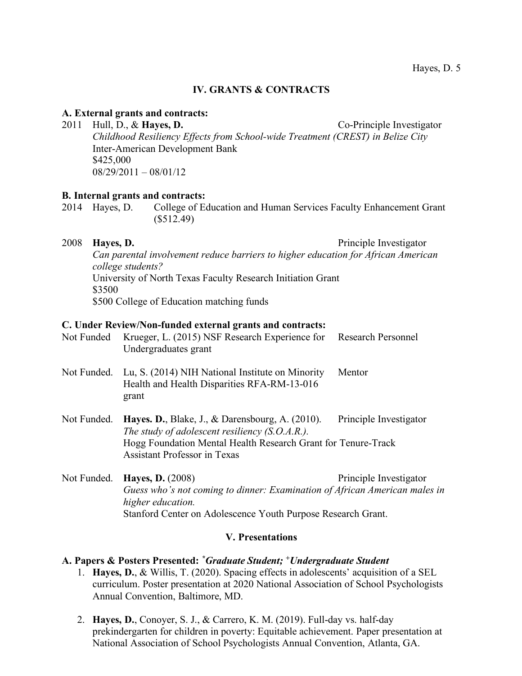## **IV. GRANTS & CONTRACTS**

#### **A. External grants and contracts:**

2011 Hull, D., & **Hayes, D.** Co-Principle Investigator *Childhood Resiliency Effects from School-wide Treatment (CREST) in Belize City* Inter-American Development Bank \$425,000  $08/29/2011 - 08/01/12$ 

#### **B. Internal grants and contracts:**

2014 Hayes, D. College of Education and Human Services Faculty Enhancement Grant (\$512.49)

2008 **Hayes, D.** Principle Investigator

*Can parental involvement reduce barriers to higher education for African American college students?* University of North Texas Faculty Research Initiation Grant \$3500 \$500 College of Education matching funds

#### **C. Under Review/Non-funded external grants and contracts:**

| Not Funded  | Krueger, L. (2015) NSF Research Experience for<br>Undergraduates grant                                                                                                                                                  | <b>Research Personnel</b> |
|-------------|-------------------------------------------------------------------------------------------------------------------------------------------------------------------------------------------------------------------------|---------------------------|
| Not Funded. | Lu, S. (2014) NIH National Institute on Minority<br>Health and Health Disparities RFA-RM-13-016<br>grant                                                                                                                | Mentor                    |
| Not Funded. | <b>Hayes. D.</b> , Blake, J., $\&$ Darensbourg, A. (2010).<br>The study of adolescent resiliency $(S.O.A.R.)$ .<br>Hogg Foundation Mental Health Research Grant for Tenure-Track<br><b>Assistant Professor in Texas</b> | Principle Investigator    |
| Not Funded. | <b>Hayes, D.</b> (2008)<br>Guess who's not coming to dinner: Examination of African American male                                                                                                                       | Principle Investigator    |

*Guess who's not coming to dinner: Examination of African American males in higher education.* Stanford Center on Adolescence Youth Purpose Research Grant.

#### **V. Presentations**

#### **A. Papers & Posters Presented:** *\* Graduate Student; +Undergraduate Student*

- 1. **Hayes, D.**, & Willis, T. (2020). Spacing effects in adolescents' acquisition of a SEL curriculum. Poster presentation at 2020 National Association of School Psychologists Annual Convention, Baltimore, MD.
- 2. **Hayes, D.**, Conoyer, S. J., & Carrero, K. M. (2019). Full-day vs. half-day prekindergarten for children in poverty: Equitable achievement. Paper presentation at National Association of School Psychologists Annual Convention, Atlanta, GA.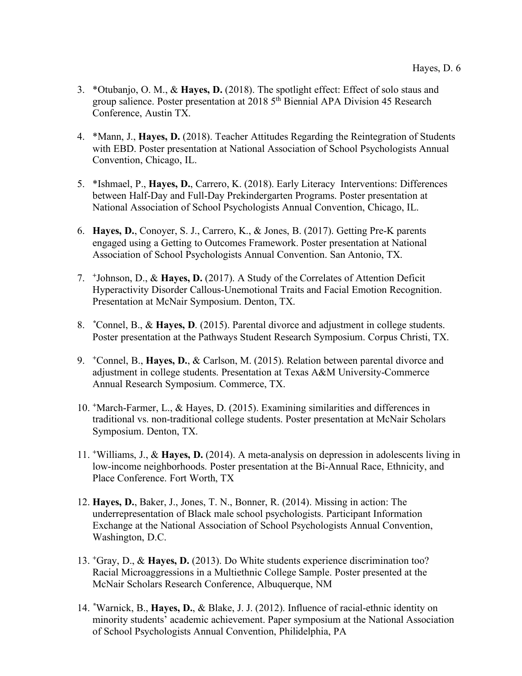- 3. \*Otubanjo, O. M., & **Hayes, D.** (2018). The spotlight effect: Effect of solo staus and group salience. Poster presentation at 2018 5th Biennial APA Division 45 Research Conference, Austin TX.
- 4. \*Mann, J., **Hayes, D.** (2018). Teacher Attitudes Regarding the Reintegration of Students with EBD. Poster presentation at National Association of School Psychologists Annual Convention, Chicago, IL.
- 5. \*Ishmael, P., **Hayes, D.**, Carrero, K. (2018). Early Literacy Interventions: Differences between Half-Day and Full-Day Prekindergarten Programs. Poster presentation at National Association of School Psychologists Annual Convention, Chicago, IL.
- 6. **Hayes, D.**, Conoyer, S. J., Carrero, K., & Jones, B. (2017). Getting Pre-K parents engaged using a Getting to Outcomes Framework. Poster presentation at National Association of School Psychologists Annual Convention. San Antonio, TX.
- 7. *<sup>+</sup>*Johnson, D., & **Hayes, D.** (2017). A Study of the Correlates of Attention Deficit Hyperactivity Disorder Callous-Unemotional Traits and Facial Emotion Recognition. Presentation at McNair Symposium. Denton, TX.
- 8. *\**Connel, B., & **Hayes, D**. (2015). Parental divorce and adjustment in college students. Poster presentation at the Pathways Student Research Symposium. Corpus Christi, TX.
- 9. *<sup>+</sup>*Connel, B., **Hayes, D.**, & Carlson, M. (2015). Relation between parental divorce and adjustment in college students. Presentation at Texas A&M University-Commerce Annual Research Symposium. Commerce, TX.
- 10. *<sup>+</sup>*March-Farmer, L., & Hayes, D. (2015). Examining similarities and differences in traditional vs. non-traditional college students. Poster presentation at McNair Scholars Symposium. Denton, TX.
- 11. *<sup>+</sup>*Williams, J., & **Hayes, D.** (2014). A meta-analysis on depression in adolescents living in low-income neighborhoods. Poster presentation at the Bi-Annual Race, Ethnicity, and Place Conference. Fort Worth, TX
- 12. **Hayes, D.**, Baker, J., Jones, T. N., Bonner, R. (2014). Missing in action: The underrepresentation of Black male school psychologists. Participant Information Exchange at the National Association of School Psychologists Annual Convention, Washington, D.C.
- 13. *<sup>+</sup>*Gray, D., & **Hayes, D.** (2013). Do White students experience discrimination too? Racial Microaggressions in a Multiethnic College Sample. Poster presented at the McNair Scholars Research Conference, Albuquerque, NM
- 14. *\**Warnick, B., **Hayes, D.**, & Blake, J. J. (2012). Influence of racial-ethnic identity on minority students' academic achievement. Paper symposium at the National Association of School Psychologists Annual Convention, Philidelphia, PA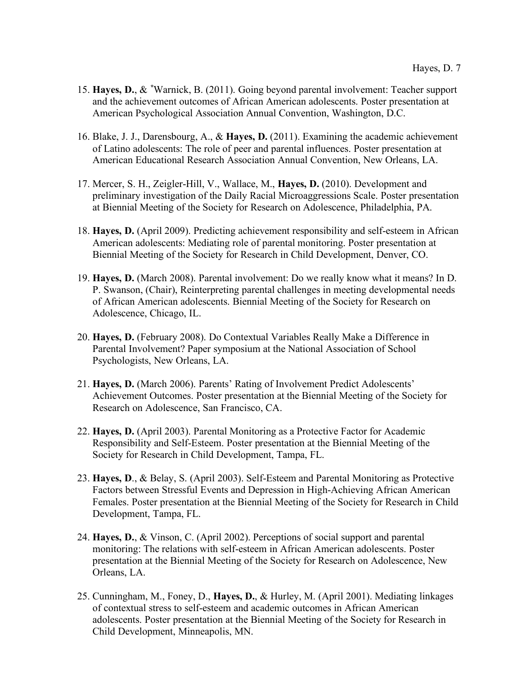- 15. **Hayes, D.**, & *\**Warnick, B. (2011). Going beyond parental involvement: Teacher support and the achievement outcomes of African American adolescents. Poster presentation at American Psychological Association Annual Convention, Washington, D.C.
- 16. Blake, J. J., Darensbourg, A., & **Hayes, D.** (2011). Examining the academic achievement of Latino adolescents: The role of peer and parental influences. Poster presentation at American Educational Research Association Annual Convention, New Orleans, LA.
- 17. Mercer, S. H., Zeigler-Hill, V., Wallace, M., **Hayes, D.** (2010). Development and preliminary investigation of the Daily Racial Microaggressions Scale. Poster presentation at Biennial Meeting of the Society for Research on Adolescence, Philadelphia, PA.
- 18. **Hayes, D.** (April 2009). Predicting achievement responsibility and self-esteem in African American adolescents: Mediating role of parental monitoring. Poster presentation at Biennial Meeting of the Society for Research in Child Development, Denver, CO.
- 19. **Hayes, D.** (March 2008). Parental involvement: Do we really know what it means? In D. P. Swanson, (Chair), Reinterpreting parental challenges in meeting developmental needs of African American adolescents. Biennial Meeting of the Society for Research on Adolescence, Chicago, IL.
- 20. **Hayes, D.** (February 2008). Do Contextual Variables Really Make a Difference in Parental Involvement? Paper symposium at the National Association of School Psychologists, New Orleans, LA.
- 21. **Hayes, D.** (March 2006). Parents' Rating of Involvement Predict Adolescents' Achievement Outcomes. Poster presentation at the Biennial Meeting of the Society for Research on Adolescence, San Francisco, CA.
- 22. **Hayes, D.** (April 2003). Parental Monitoring as a Protective Factor for Academic Responsibility and Self-Esteem. Poster presentation at the Biennial Meeting of the Society for Research in Child Development, Tampa, FL.
- 23. **Hayes, D**., & Belay, S. (April 2003). Self-Esteem and Parental Monitoring as Protective Factors between Stressful Events and Depression in High-Achieving African American Females. Poster presentation at the Biennial Meeting of the Society for Research in Child Development, Tampa, FL.
- 24. **Hayes, D.**, & Vinson, C. (April 2002). Perceptions of social support and parental monitoring: The relations with self-esteem in African American adolescents. Poster presentation at the Biennial Meeting of the Society for Research on Adolescence, New Orleans, LA.
- 25. Cunningham, M., Foney, D., **Hayes, D.**, & Hurley, M. (April 2001). Mediating linkages of contextual stress to self-esteem and academic outcomes in African American adolescents. Poster presentation at the Biennial Meeting of the Society for Research in Child Development, Minneapolis, MN.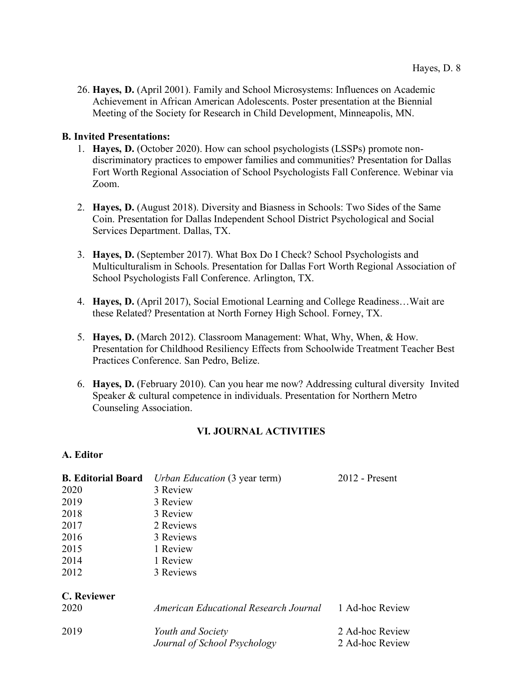26. **Hayes, D.** (April 2001). Family and School Microsystems: Influences on Academic Achievement in African American Adolescents. Poster presentation at the Biennial Meeting of the Society for Research in Child Development, Minneapolis, MN.

# **B. Invited Presentations:**

- 1. **Hayes, D.** (October 2020). How can school psychologists (LSSPs) promote nondiscriminatory practices to empower families and communities? Presentation for Dallas Fort Worth Regional Association of School Psychologists Fall Conference. Webinar via Zoom.
- 2. **Hayes, D.** (August 2018). Diversity and Biasness in Schools: Two Sides of the Same Coin. Presentation for Dallas Independent School District Psychological and Social Services Department. Dallas, TX.
- 3. **Hayes, D.** (September 2017). What Box Do I Check? School Psychologists and Multiculturalism in Schools. Presentation for Dallas Fort Worth Regional Association of School Psychologists Fall Conference. Arlington, TX.
- 4. **Hayes, D.** (April 2017), Social Emotional Learning and College Readiness…Wait are these Related? Presentation at North Forney High School. Forney, TX.
- 5. **Hayes, D.** (March 2012). Classroom Management: What, Why, When, & How. Presentation for Childhood Resiliency Effects from Schoolwide Treatment Teacher Best Practices Conference. San Pedro, Belize.
- 6. **Hayes, D.** (February 2010). Can you hear me now? Addressing cultural diversity Invited Speaker & cultural competence in individuals. Presentation for Northern Metro Counseling Association.

# **VI. JOURNAL ACTIVITIES**

# **A. Editor**

| <b>B. Editorial Board</b> | $2012$ - Present<br><i>Urban Education</i> (3 year term) |                                    |  |
|---------------------------|----------------------------------------------------------|------------------------------------|--|
| 2020                      | 3 Review                                                 |                                    |  |
| 2019                      | 3 Review                                                 |                                    |  |
| 2018                      | 3 Review                                                 |                                    |  |
| 2017                      | 2 Reviews                                                |                                    |  |
| 2016                      | 3 Reviews                                                |                                    |  |
| 2015                      | 1 Review                                                 |                                    |  |
| 2014                      | 1 Review                                                 |                                    |  |
| 2012                      | 3 Reviews                                                |                                    |  |
| C. Reviewer<br>2020       | American Educational Research Journal                    | 1 Ad-hoc Review                    |  |
| 2019                      | Youth and Society<br>Journal of School Psychology        | 2 Ad-hoc Review<br>2 Ad-hoc Review |  |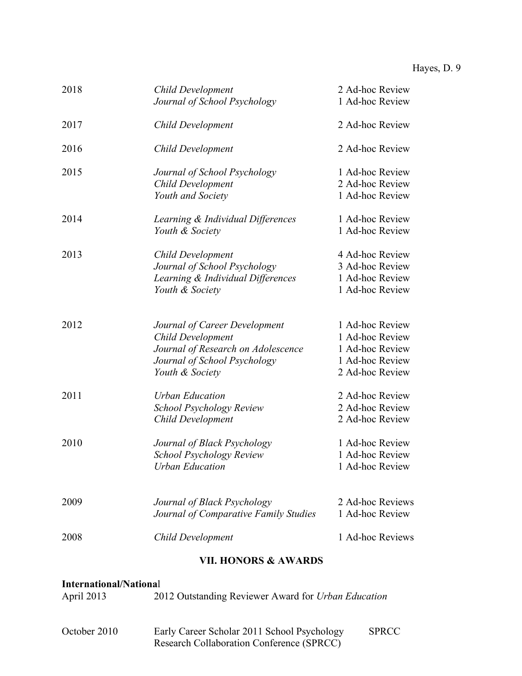| 2018 | Child Development<br>Journal of School Psychology                                                                                                  | 2 Ad-hoc Review<br>1 Ad-hoc Review                                                          |
|------|----------------------------------------------------------------------------------------------------------------------------------------------------|---------------------------------------------------------------------------------------------|
| 2017 | Child Development                                                                                                                                  | 2 Ad-hoc Review                                                                             |
| 2016 | <b>Child Development</b>                                                                                                                           | 2 Ad-hoc Review                                                                             |
| 2015 | Journal of School Psychology<br>Child Development<br>Youth and Society                                                                             | 1 Ad-hoc Review<br>2 Ad-hoc Review<br>1 Ad-hoc Review                                       |
| 2014 | Learning & Individual Differences<br>Youth & Society                                                                                               | 1 Ad-hoc Review<br>1 Ad-hoc Review                                                          |
| 2013 | <b>Child Development</b><br>Journal of School Psychology<br>Learning & Individual Differences<br>Youth & Society                                   | 4 Ad-hoc Review<br>3 Ad-hoc Review<br>1 Ad-hoc Review<br>1 Ad-hoc Review                    |
| 2012 | Journal of Career Development<br><b>Child Development</b><br>Journal of Research on Adolescence<br>Journal of School Psychology<br>Youth & Society | 1 Ad-hoc Review<br>1 Ad-hoc Review<br>1 Ad-hoc Review<br>1 Ad-hoc Review<br>2 Ad-hoc Review |
| 2011 | <b>Urban Education</b><br><b>School Psychology Review</b><br>Child Development                                                                     | 2 Ad-hoc Review<br>2 Ad-hoc Review<br>2 Ad-hoc Review                                       |
| 2010 | Journal of Black Psychology<br><b>School Psychology Review</b><br><b>Urban Education</b>                                                           | 1 Ad-hoc Review<br>1 Ad-hoc Review<br>1 Ad-hoc Review                                       |
| 2009 | Journal of Black Psychology<br>Journal of Comparative Family Studies                                                                               | 2 Ad-hoc Reviews<br>1 Ad-hoc Review                                                         |
| 2008 | <b>Child Development</b>                                                                                                                           | 1 Ad-hoc Reviews                                                                            |

# **VII. HONORS & AWARDS**

# **International/Nationa**l

| April 2013 | 2012 Outstanding Reviewer Award for Urban Education |
|------------|-----------------------------------------------------|
|            |                                                     |

| October 2010 | Early Career Scholar 2011 School Psychology      | <b>SPRCC</b> |
|--------------|--------------------------------------------------|--------------|
|              | <b>Research Collaboration Conference (SPRCC)</b> |              |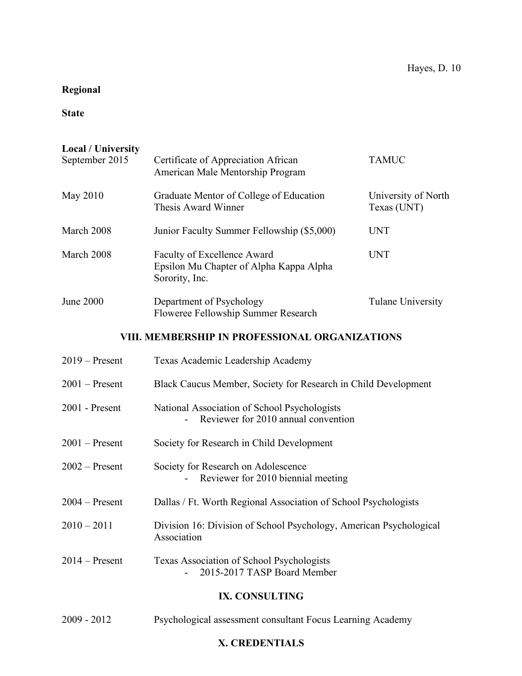# **Regional**

# **State**

| <b>Local / University</b><br>September 2015 | Certificate of Appreciation African<br>American Male Mentorship Program                  | <b>TAMUC</b>                       |  |
|---------------------------------------------|------------------------------------------------------------------------------------------|------------------------------------|--|
| May 2010                                    | Graduate Mentor of College of Education<br>Thesis Award Winner                           | University of North<br>Texas (UNT) |  |
| March 2008                                  | Junior Faculty Summer Fellowship (\$5,000)                                               | <b>UNT</b>                         |  |
| March 2008                                  | Faculty of Excellence Award<br>Epsilon Mu Chapter of Alpha Kappa Alpha<br>Sorority, Inc. | <b>UNT</b>                         |  |
| <b>June 2000</b>                            | Department of Psychology<br>Floweree Fellowship Summer Research                          | <b>Tulane University</b>           |  |
|                                             | VIII. MEMBERSHIP IN PROFESSIONAL ORGANIZATIONS                                           |                                    |  |
| $2019$ – Present                            | Texas Academic Leadership Academy                                                        |                                    |  |
| $2001$ – Present                            | Black Caucus Member, Society for Research in Child Development                           |                                    |  |
| 2001 - Present                              | National Association of School Psychologists<br>Reviewer for 2010 annual convention      |                                    |  |
| $2001$ – Present                            | Society for Research in Child Development                                                |                                    |  |
| $2002$ – Present                            | Society for Research on Adolescence<br>Reviewer for 2010 biennial meeting                |                                    |  |
| $2004 -$ Present                            | Dallas / Ft. Worth Regional Association of School Psychologists                          |                                    |  |
| $2010 - 2011$                               | Division 16: Division of School Psychology, American Psychological<br>Association        |                                    |  |
| $2014$ – Present                            | Texas Association of School Psychologists<br>2015-2017 TASP Board Member                 |                                    |  |
|                                             | IX. CONSULTING                                                                           |                                    |  |
| 2009 - 2012                                 | Psychological assessment consultant Focus Learning Academy                               |                                    |  |

# **X. CREDENTIALS**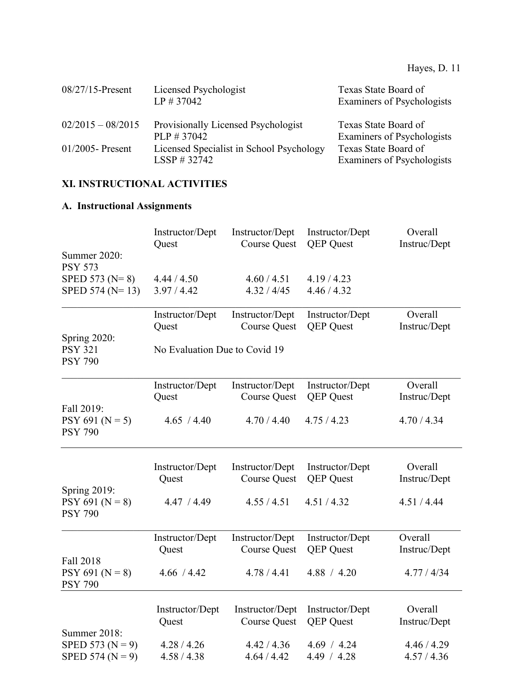| $08/27/15$ -Present | Licensed Psychologist<br>$LP \# 37042$                     | Texas State Board of<br>Examiners of Psychologists |
|---------------------|------------------------------------------------------------|----------------------------------------------------|
| $02/2015 - 08/2015$ | Provisionally Licensed Psychologist<br>$PLP \# 37042$      | Texas State Board of<br>Examiners of Psychologists |
| $01/2005$ - Present | Licensed Specialist in School Psychology<br>$LSSP$ # 32742 | Texas State Board of<br>Examiners of Psychologists |

# **XI. INSTRUCTIONAL ACTIVITIES**

# **A. Instructional Assignments**

| Summer 2020:                                                 | Instructor/Dept               | Instructor/Dept            | Instructor/Dept            | Overall                    |
|--------------------------------------------------------------|-------------------------------|----------------------------|----------------------------|----------------------------|
|                                                              | Quest                         | <b>Course Quest</b>        | <b>OEP</b> Quest           | Instruc/Dept               |
| <b>PSY 573</b><br>SPED 573 ( $N=8$ )<br>SPED 574 ( $N=13$ )  | 4.44 / 4.50<br>3.97 / 4.42    | 4.60 / 4.51<br>4.32 / 4/45 | 4.19/4.23<br>4.46 / 4.32   |                            |
|                                                              | Instructor/Dept               | Instructor/Dept            | Instructor/Dept            | Overall                    |
|                                                              | Quest                         | <b>Course Quest</b>        | <b>QEP</b> Quest           | Instruc/Dept               |
| <b>Spring 2020:</b><br><b>PSY 321</b><br><b>PSY 790</b>      | No Evaluation Due to Covid 19 |                            |                            |                            |
|                                                              | Instructor/Dept               | Instructor/Dept            | Instructor/Dept            | Overall                    |
|                                                              | Quest                         | <b>Course Quest</b>        | <b>QEP</b> Quest           | Instruc/Dept               |
| Fall 2019:<br>$PSY 691 (N = 5)$<br><b>PSY 790</b>            | 4.65 / 4.40                   | 4.70 / 4.40                | 4.75/4.23                  | 4.70 / 4.34                |
|                                                              | Instructor/Dept               | Instructor/Dept            | Instructor/Dept            | Overall                    |
|                                                              | Quest                         | <b>Course Quest</b>        | <b>QEP</b> Quest           | Instruc/Dept               |
| <b>Spring 2019:</b><br>$PSY 691 (N = 8)$<br><b>PSY 790</b>   | 4.47 / 4.49                   | 4.55 / 4.51                | 4.51 / 4.32                | 4.51 / 4.44                |
|                                                              | Instructor/Dept               | Instructor/Dept            | Instructor/Dept            | Overall                    |
|                                                              | Quest                         | <b>Course Quest</b>        | <b>QEP</b> Quest           | Instruc/Dept               |
| Fall 2018<br>$PSY 691 (N = 8)$<br><b>PSY 790</b>             | 4.66 / 4.42                   | 4.78 / 4.41                | 4.88 / 4.20                | 4.77 / 4/34                |
|                                                              | Instructor/Dept               | Instructor/Dept            | Instructor/Dept            | Overall                    |
|                                                              | Quest                         | <b>Course Quest</b>        | <b>QEP</b> Quest           | Instruc/Dept               |
| Summer 2018:<br>SPED 573 ( $N = 9$ )<br>SPED 574 ( $N = 9$ ) | 4.28 / 4.26<br>4.58 / 4.38    | 4.42 / 4.36<br>4.64 / 4.42 | 4.69 / 4.24<br>4.49 / 4.28 | 4.46 / 4.29<br>4.57 / 4.36 |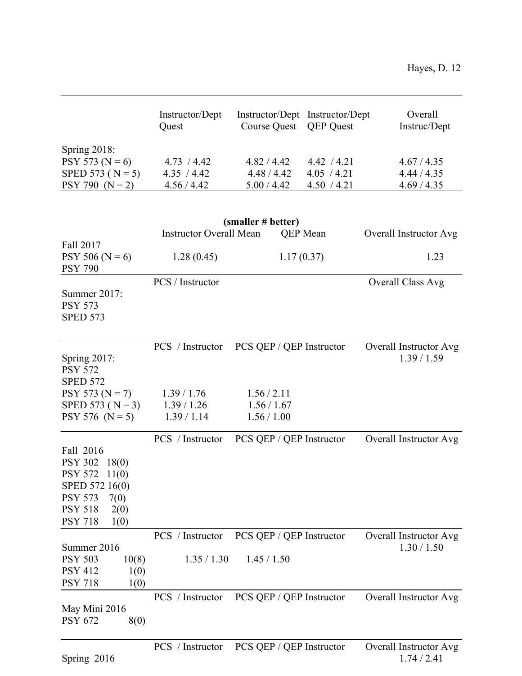|                      | Instructor/Dept<br>Quest       | Instructor/Dept Instructor/Dept<br>Course Quest QEP Quest |                 | Overall<br>Instruc/Dept |
|----------------------|--------------------------------|-----------------------------------------------------------|-----------------|-------------------------|
| Spring $2018$ :      |                                |                                                           |                 |                         |
| PSY 573 ( $N = 6$ )  | 4.73 / 4.42                    | 4.82 / 4.42                                               | 4.42 / 4.21     | 4.67 / 4.35             |
| SPED 573 ( $N = 5$ ) | 4.35 / 4.42                    | 4.48/4.42                                                 | 4.05 / 4.21     | 4.44 / 4.35             |
| $PSY 790 (N = 2)$    | 4.56 / 4.42                    | 5.00 / 4.42                                               | 4.50 / 4.21     | 4.69 / 4.35             |
|                      |                                |                                                           |                 |                         |
|                      |                                | (smaller # better)                                        |                 |                         |
|                      | <b>Instructor Overall Mean</b> |                                                           | <b>OEP</b> Mean | Overall Instructor Avg  |
| Fall 2017            |                                |                                                           |                 |                         |
| $PSY 506 (N = 6)$    | 1.28(0.45)                     | 1.17(0.37)                                                |                 | 1.23                    |

| $PSY 506 (N = 6)$<br><b>PSY 790</b>                                                        | 1.28(0.45)                      | 1.17(0.37)                              | 1.23                                  |
|--------------------------------------------------------------------------------------------|---------------------------------|-----------------------------------------|---------------------------------------|
| Summer 2017:<br><b>PSY 573</b><br><b>SPED 573</b>                                          | PCS / Instructor                |                                         | Overall Class Avg                     |
| <b>Spring 2017:</b><br><b>PSY 572</b><br><b>SPED 572</b>                                   | PCS / Instructor                | PCS QEP / QEP Instructor                | Overall Instructor Avg<br>1.39/1.59   |
| $PSY 573 (N = 7)$                                                                          | 1.39 / 1.76                     | 1.56 / 2.11                             |                                       |
| SPED 573 ( $N = 3$ )                                                                       | 1.39 / 1.26                     | 1.56 / 1.67                             |                                       |
| PSY 576 ( $N = 5$ )                                                                        | 1.39/1.14                       | 1.56 / 1.00                             |                                       |
| Fall 2016<br><b>PSY 302</b><br>18(0)<br><b>PSY 572</b><br>11(0)<br>SPED 572 16(0)          | PCS / Instructor                | PCS QEP / QEP Instructor                | Overall Instructor Avg                |
| <b>PSY 573</b><br>7(0)                                                                     |                                 |                                         |                                       |
| <b>PSY 518</b><br>2(0)                                                                     |                                 |                                         |                                       |
| <b>PSY 718</b><br>1(0)                                                                     |                                 |                                         |                                       |
| Summer 2016<br><b>PSY 503</b><br>10(8)<br><b>PSY 412</b><br>1(0)<br><b>PSY 718</b><br>1(0) | PCS / Instructor<br>1.35 / 1.30 | PCS QEP / QEP Instructor<br>1.45 / 1.50 | Overall Instructor Avg<br>1.30 / 1.50 |
| May Mini 2016<br><b>PSY 672</b><br>8(0)                                                    | PCS / Instructor                | PCS QEP / QEP Instructor                | Overall Instructor Avg                |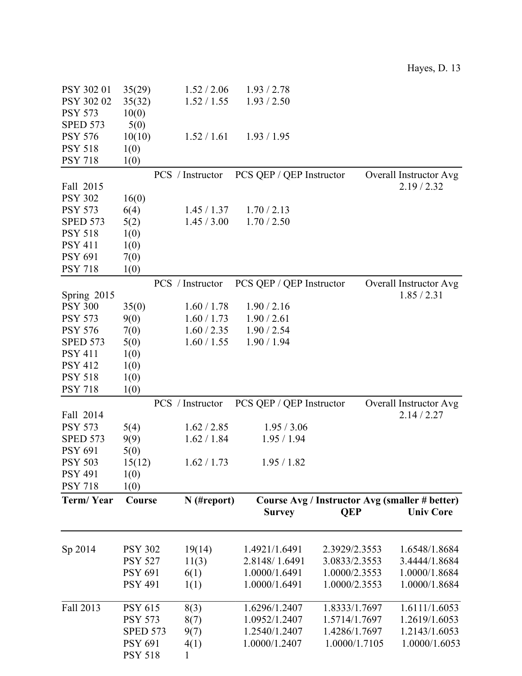| PSY 302 01                    | 35(29)                           | 1.52 / 2.06          | 1.93 / 2.78              |               |                                                |
|-------------------------------|----------------------------------|----------------------|--------------------------|---------------|------------------------------------------------|
| PSY 302 02                    | 35(32)                           | 1.52 / 1.55          | 1.93 / 2.50              |               |                                                |
| <b>PSY 573</b>                | 10(0)                            |                      |                          |               |                                                |
| <b>SPED 573</b>               | 5(0)                             |                      |                          |               |                                                |
| <b>PSY 576</b>                | 10(10)                           | 1.52 / 1.61          | 1.93 / 1.95              |               |                                                |
| <b>PSY 518</b>                | 1(0)                             |                      |                          |               |                                                |
| <b>PSY 718</b>                | 1(0)                             |                      |                          |               |                                                |
|                               |                                  | PCS / Instructor     | PCS QEP / QEP Instructor |               | Overall Instructor Avg                         |
| Fall 2015                     |                                  |                      |                          |               | 2.19/2.32                                      |
| <b>PSY 302</b>                | 16(0)                            |                      |                          |               |                                                |
| <b>PSY 573</b>                | 6(4)                             | 1.45 / 1.37          | 1.70 / 2.13              |               |                                                |
| <b>SPED 573</b>               | 5(2)                             | 1.45 / 3.00          | 1.70 / 2.50              |               |                                                |
| <b>PSY 518</b>                | 1(0)                             |                      |                          |               |                                                |
| <b>PSY 411</b>                | 1(0)                             |                      |                          |               |                                                |
| <b>PSY 691</b>                | 7(0)                             |                      |                          |               |                                                |
| <b>PSY 718</b>                | 1(0)                             |                      |                          |               |                                                |
|                               |                                  |                      |                          |               |                                                |
|                               |                                  | PCS / Instructor     | PCS QEP / QEP Instructor |               | Overall Instructor Avg<br>1.85 / 2.31          |
| Spring 2015<br><b>PSY 300</b> |                                  |                      |                          |               |                                                |
|                               | 35(0)                            | 1.60 / 1.78          | 1.90 / 2.16              |               |                                                |
| <b>PSY 573</b>                | 9(0)                             | 1.60 / 1.73          | 1.90 / 2.61              |               |                                                |
| <b>PSY 576</b>                | 7(0)                             | 1.60 / 2.35          | 1.90 / 2.54              |               |                                                |
| <b>SPED 573</b>               | 5(0)                             | 1.60 / 1.55          | 1.90 / 1.94              |               |                                                |
| <b>PSY 411</b>                | 1(0)                             |                      |                          |               |                                                |
| <b>PSY 412</b>                | 1(0)                             |                      |                          |               |                                                |
| <b>PSY 518</b>                | 1(0)                             |                      |                          |               |                                                |
|                               |                                  |                      |                          |               |                                                |
| <b>PSY 718</b>                | 1(0)                             |                      |                          |               |                                                |
|                               |                                  | PCS / Instructor     | PCS QEP / QEP Instructor |               | Overall Instructor Avg                         |
| Fall 2014                     |                                  |                      |                          |               | 2.14 / 2.27                                    |
| <b>PSY 573</b>                | 5(4)                             | 1.62 / 2.85          | 1.95 / 3.06              |               |                                                |
| <b>SPED 573</b>               | 9(9)                             | 1.62 / 1.84          | 1.95 / 1.94              |               |                                                |
| <b>PSY 691</b>                | 5(0)                             |                      |                          |               |                                                |
| <b>PSY 503</b>                | 15(12)                           | 1.62 / 1.73          | 1.95/1.82                |               |                                                |
| <b>PSY 491</b>                | 1(0)                             |                      |                          |               |                                                |
| <b>PSY 718</b>                | 1(0)                             |                      |                          |               |                                                |
| Term/Year                     | Course                           | $N$ (#report)        |                          |               | Course Avg / Instructor Avg (smaller # better) |
|                               |                                  |                      | <b>Survey</b>            | <b>QEP</b>    | <b>Univ Core</b>                               |
|                               |                                  |                      |                          |               |                                                |
|                               |                                  |                      |                          |               |                                                |
| Sp 2014                       | <b>PSY 302</b>                   | 19(14)               | 1.4921/1.6491            | 2.3929/2.3553 | 1.6548/1.8684                                  |
|                               | <b>PSY 527</b>                   | 11(3)                | 2.8148/1.6491            | 3.0833/2.3553 | 3.4444/1.8684                                  |
|                               | <b>PSY 691</b>                   | 6(1)                 | 1.0000/1.6491            | 1.0000/2.3553 | 1.0000/1.8684                                  |
|                               | <b>PSY 491</b>                   | 1(1)                 | 1.0000/1.6491            | 1.0000/2.3553 | 1.0000/1.8684                                  |
|                               |                                  |                      |                          |               |                                                |
| Fall 2013                     | <b>PSY 615</b>                   | 8(3)                 | 1.6296/1.2407            | 1.8333/1.7697 | 1.6111/1.6053                                  |
|                               | <b>PSY 573</b>                   | 8(7)                 | 1.0952/1.2407            | 1.5714/1.7697 | 1.2619/1.6053                                  |
|                               | <b>SPED 573</b>                  | 9(7)                 | 1.2540/1.2407            | 1.4286/1.7697 | 1.2143/1.6053                                  |
|                               | <b>PSY 691</b><br><b>PSY 518</b> | 4(1)<br>$\mathbf{1}$ | 1.0000/1.2407            | 1.0000/1.7105 | 1.0000/1.6053                                  |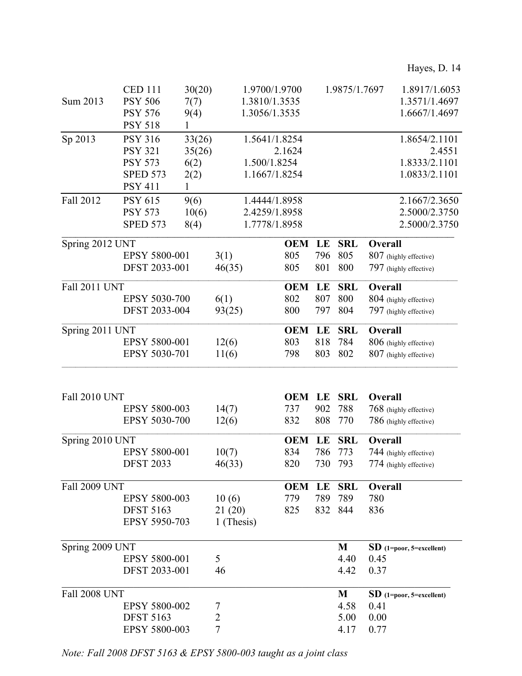|                      | <b>CED 111</b>       | 30(20) |                      | 1.9700/1.9700 |     | 1.9875/1.7697 |         | 1.8917/1.6053              |  |
|----------------------|----------------------|--------|----------------------|---------------|-----|---------------|---------|----------------------------|--|
| Sum 2013             | <b>PSY 506</b>       | 7(7)   |                      | 1.3810/1.3535 |     |               |         | 1.3571/1.4697              |  |
|                      | <b>PSY 576</b>       | 9(4)   |                      | 1.3056/1.3535 |     |               |         | 1.6667/1.4697              |  |
|                      | <b>PSY 518</b>       | 1      |                      |               |     |               |         |                            |  |
| Sp 2013              | <b>PSY 316</b>       | 33(26) |                      | 1.5641/1.8254 |     |               |         | 1.8654/2.1101              |  |
|                      | <b>PSY 321</b>       | 35(26) |                      | 2.1624        |     |               |         | 2.4551                     |  |
|                      | <b>PSY 573</b>       | 6(2)   |                      | 1.500/1.8254  |     |               |         | 1.8333/2.1101              |  |
|                      | <b>SPED 573</b>      | 2(2)   |                      | 1.1667/1.8254 |     |               |         | 1.0833/2.1101              |  |
|                      | <b>PSY 411</b>       | 1      |                      |               |     |               |         |                            |  |
| Fall 2012            | <b>PSY 615</b>       | 9(6)   |                      | 1.4444/1.8958 |     |               |         | 2.1667/2.3650              |  |
|                      | <b>PSY 573</b>       | 10(6)  |                      | 2.4259/1.8958 |     |               |         | 2.5000/2.3750              |  |
|                      | <b>SPED 573</b>      | 8(4)   |                      | 1.7778/1.8958 |     |               |         | 2.5000/2.3750              |  |
| Spring 2012 UNT      |                      |        |                      | <b>OEM</b>    | LE  | <b>SRL</b>    | Overall |                            |  |
|                      | EPSY 5800-001        |        | 3(1)                 | 805           | 796 | 805           |         | 807 (highly effective)     |  |
|                      | DFST 2033-001        |        | 46(35)               | 805           | 801 | 800           |         | 797 (highly effective)     |  |
|                      |                      |        |                      |               |     |               |         |                            |  |
| <b>Fall 2011 UNT</b> |                      |        |                      | <b>OEM</b>    | LE  | <b>SRL</b>    | Overall |                            |  |
|                      | EPSY 5030-700        |        | 6(1)                 | 802           | 807 | 800           |         | 804 (highly effective)     |  |
|                      | DFST 2033-004        |        | 93(25)               | 800           | 797 | 804           |         | 797 (highly effective)     |  |
| Spring 2011 UNT      |                      |        |                      | <b>OEM</b>    | LE  | <b>SRL</b>    | Overall |                            |  |
|                      | EPSY 5800-001        |        | 12(6)                | 803           | 818 | 784           |         | 806 (highly effective)     |  |
|                      | EPSY 5030-701        |        | 11(6)                | 798           | 803 | 802           |         | 807 (highly effective)     |  |
|                      |                      |        |                      |               |     |               |         |                            |  |
| Fall 2010 UNT        |                      |        |                      | <b>OEM</b>    | LE  | <b>SRL</b>    | Overall |                            |  |
|                      | EPSY 5800-003        |        | 14(7)                | 737           | 902 | 788           |         | 768 (highly effective)     |  |
|                      | EPSY 5030-700        |        | 12(6)                | 832           | 808 | 770           |         | 786 (highly effective)     |  |
| Spring 2010 UNT      |                      |        |                      | <b>OEM</b>    | LE  | <b>SRL</b>    | Overall |                            |  |
|                      | EPSY 5800-001        |        | 10(7)                | 834           | 786 | 773           |         | 744 (highly effective)     |  |
|                      | <b>DFST 2033</b>     |        | 46(33)               | 820           | 730 | 793           |         | 774 (highly effective)     |  |
| <b>Fall 2009 UNT</b> |                      |        |                      | <b>OEM</b>    | LE  | <b>SRL</b>    | Overall |                            |  |
|                      | <b>EPSY 5800-003</b> |        | 10(6)                | 779           | 789 | 789           | 780     |                            |  |
|                      | <b>DFST 5163</b>     |        |                      | 825           |     | 832 844       | 836     |                            |  |
|                      | EPSY 5950-703        |        | 21(20)<br>1 (Thesis) |               |     |               |         |                            |  |
|                      |                      |        |                      |               |     |               |         |                            |  |
| Spring 2009 UNT      |                      |        |                      |               |     | M             |         | $SD$ (1=poor, 5=excellent) |  |
|                      | EPSY 5800-001        |        | 5                    |               |     | 4.40          | 0.45    |                            |  |
|                      | DFST 2033-001        |        | 46                   |               |     | 4.42          | 0.37    |                            |  |
| <b>Fall 2008 UNT</b> |                      |        |                      |               |     | M             |         | $SD$ (1=poor, 5=excellent) |  |
|                      | <b>EPSY 5800-002</b> |        | 7                    |               |     | 4.58          | 0.41    |                            |  |
|                      | <b>DFST 5163</b>     |        | 2                    |               |     | 5.00          | 0.00    |                            |  |
|                      | EPSY 5800-003        |        | 7                    |               |     | 4.17          | 0.77    |                            |  |
|                      |                      |        |                      |               |     |               |         |                            |  |

*Note: Fall 2008 DFST 5163 & EPSY 5800-003 taught as a joint class*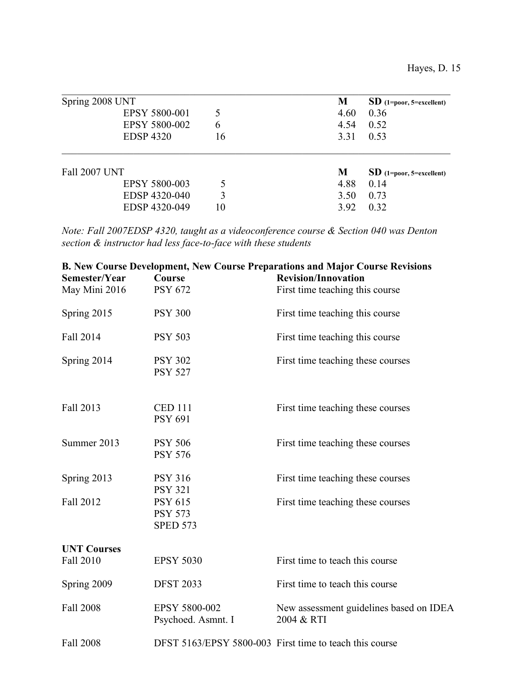| Spring 2008 UNT      |    | M    | $SD$ (1=poor, 5=excellent) |
|----------------------|----|------|----------------------------|
| <b>EPSY 5800-001</b> | 5  | 4.60 | 0.36                       |
| EPSY 5800-002        | 6  | 4.54 | 0.52                       |
| <b>EDSP 4320</b>     | 16 | 3.31 | 0.53                       |
| <b>Fall 2007 UNT</b> |    | M    | $SD$ (1=poor, 5=excellent) |
| <b>EPSY 5800-003</b> |    | 4.88 | 0.14                       |
| EDSP 4320-040        | 3  | 3.50 | 0.73                       |
|                      |    |      |                            |
| EDSP 4320-049        | 10 | 3.92 | 0.32                       |

*Note: Fall 2007EDSP 4320, taught as a videoconference course & Section 040 was Denton section & instructor had less face-to-face with these students*

| Semester/Year                   | Course                                              | <b>B. New Course Development, New Course Preparations and Major Course Revisions</b><br><b>Revision/Innovation</b> |
|---------------------------------|-----------------------------------------------------|--------------------------------------------------------------------------------------------------------------------|
| May Mini 2016                   | <b>PSY 672</b>                                      | First time teaching this course                                                                                    |
| Spring 2015                     | <b>PSY 300</b>                                      | First time teaching this course                                                                                    |
| Fall 2014                       | <b>PSY 503</b>                                      | First time teaching this course                                                                                    |
| Spring 2014                     | <b>PSY 302</b><br><b>PSY 527</b>                    | First time teaching these courses                                                                                  |
| Fall 2013                       | <b>CED 111</b><br><b>PSY 691</b>                    | First time teaching these courses                                                                                  |
| Summer 2013                     | <b>PSY 506</b><br><b>PSY 576</b>                    | First time teaching these courses                                                                                  |
| Spring 2013                     | <b>PSY 316</b><br><b>PSY 321</b>                    | First time teaching these courses                                                                                  |
| Fall 2012                       | <b>PSY 615</b><br><b>PSY 573</b><br><b>SPED 573</b> | First time teaching these courses                                                                                  |
| <b>UNT Courses</b><br>Fall 2010 | <b>EPSY 5030</b>                                    | First time to teach this course                                                                                    |
| Spring 2009                     | <b>DFST 2033</b>                                    | First time to teach this course                                                                                    |
| Fall 2008                       | EPSY 5800-002<br>Psychoed. Asmnt. I                 | New assessment guidelines based on IDEA<br>2004 & RTI                                                              |
| <b>Fall 2008</b>                |                                                     | DFST 5163/EPSY 5800-003 First time to teach this course                                                            |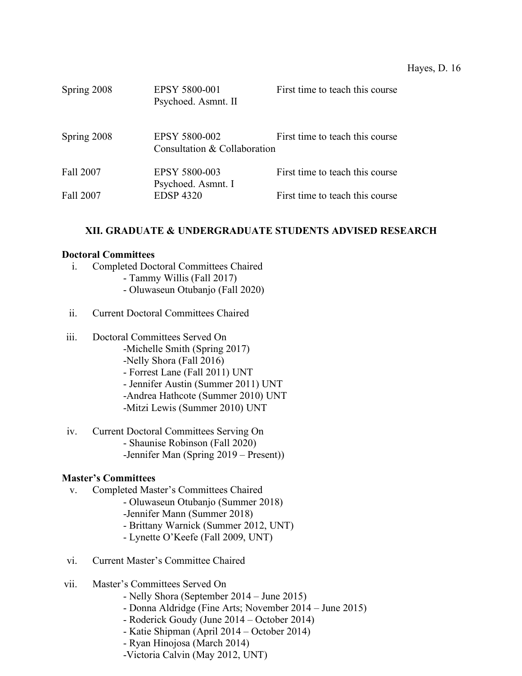| Spring 2008 | EPSY 5800-001<br>Psychoed. Asmnt. II                 | First time to teach this course |
|-------------|------------------------------------------------------|---------------------------------|
| Spring 2008 | <b>EPSY 5800-002</b><br>Consultation & Collaboration | First time to teach this course |
| Fall 2007   | EPSY 5800-003<br>Psychoed. Asmnt. I                  | First time to teach this course |
| Fall 2007   | <b>EDSP 4320</b>                                     | First time to teach this course |

## **XII. GRADUATE & UNDERGRADUATE STUDENTS ADVISED RESEARCH**

#### **Doctoral Committees**

- i. Completed Doctoral Committees Chaired
	- Tammy Willis (Fall 2017)
	- Oluwaseun Otubanjo (Fall 2020)
- ii. Current Doctoral Committees Chaired
- iii. Doctoral Committees Served On
	- -Michelle Smith (Spring 2017)
	- -Nelly Shora (Fall 2016)
	- Forrest Lane (Fall 2011) UNT
	- Jennifer Austin (Summer 2011) UNT
	- -Andrea Hathcote (Summer 2010) UNT
	- -Mitzi Lewis (Summer 2010) UNT
- iv. Current Doctoral Committees Serving On
	- Shaunise Robinson (Fall 2020)
	- -Jennifer Man (Spring 2019 Present))

# **Master's Committees**

- v. Completed Master's Committees Chaired
	- Oluwaseun Otubanjo (Summer 2018) -Jennifer Mann (Summer 2018)
	- Brittany Warnick (Summer 2012, UNT)
	- Lynette O'Keefe (Fall 2009, UNT)
- vi. Current Master's Committee Chaired
- vii. Master's Committees Served On
	- Nelly Shora (September 2014 June 2015)
	- Donna Aldridge (Fine Arts; November 2014 June 2015)
	- Roderick Goudy (June 2014 October 2014)
	- Katie Shipman (April 2014 October 2014)
	- Ryan Hinojosa (March 2014)
	- -Victoria Calvin (May 2012, UNT)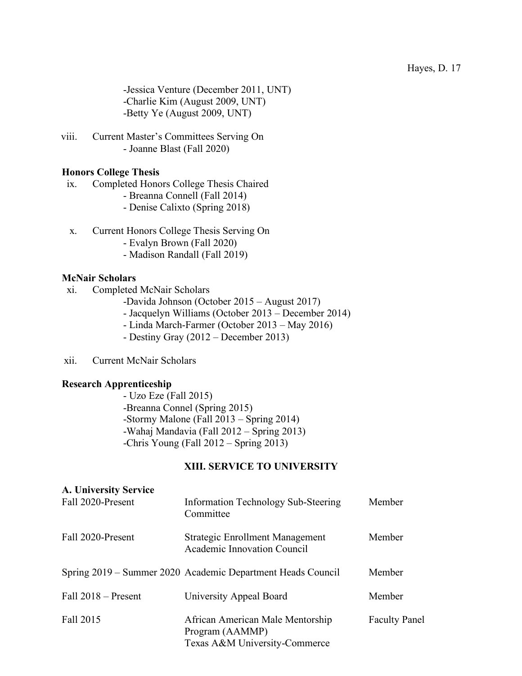-Jessica Venture (December 2011, UNT) -Charlie Kim (August 2009, UNT) -Betty Ye (August 2009, UNT)

viii. Current Master's Committees Serving On - Joanne Blast (Fall 2020)

#### **Honors College Thesis**

- ix. Completed Honors College Thesis Chaired
	- Breanna Connell (Fall 2014)
	- Denise Calixto (Spring 2018)
- x. Current Honors College Thesis Serving On
	- Evalyn Brown (Fall 2020)
	- Madison Randall (Fall 2019)

#### **McNair Scholars**

- xi. Completed McNair Scholars
	- -Davida Johnson (October 2015 August 2017)
	- Jacquelyn Williams (October 2013 December 2014)
	- Linda March-Farmer (October 2013 May 2016)
	- Destiny Gray (2012 December 2013)
- xii. Current McNair Scholars

#### **Research Apprenticeship**

- Uzo Eze (Fall 2015) -Breanna Connel (Spring 2015) -Stormy Malone (Fall 2013 – Spring 2014) -Wahaj Mandavia (Fall 2012 – Spring 2013) -Chris Young (Fall 2012 – Spring 2013)

# **XIII. SERVICE TO UNIVERSITY**

| A. University Service |                                                                                      |                      |
|-----------------------|--------------------------------------------------------------------------------------|----------------------|
| Fall 2020-Present     | <b>Information Technology Sub-Steering</b><br>Committee                              | Member               |
| Fall 2020-Present     | Strategic Enrollment Management<br>Academic Innovation Council                       | Member               |
|                       | Spring 2019 – Summer 2020 Academic Department Heads Council                          | Member               |
| Fall $2018$ – Present | University Appeal Board                                                              | Member               |
| Fall 2015             | African American Male Mentorship<br>Program (AAMMP)<br>Texas A&M University-Commerce | <b>Faculty Panel</b> |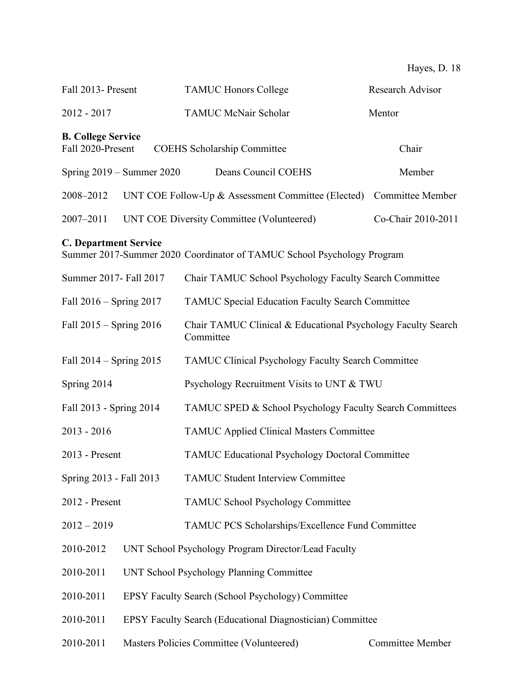| Fall 2013- Present                             |                               | <b>TAMUC Honors College</b>                                               | <b>Research Advisor</b> |
|------------------------------------------------|-------------------------------|---------------------------------------------------------------------------|-------------------------|
| $2012 - 2017$                                  |                               | <b>TAMUC McNair Scholar</b>                                               | Mentor                  |
| <b>B. College Service</b><br>Fall 2020-Present |                               | <b>COEHS Scholarship Committee</b>                                        | Chair                   |
|                                                | Spring $2019 -$ Summer $2020$ | Deans Council COEHS                                                       | Member                  |
| 2008-2012                                      |                               | UNT COE Follow-Up & Assessment Committee (Elected)                        | <b>Committee Member</b> |
| 2007-2011                                      |                               | UNT COE Diversity Committee (Volunteered)                                 | Co-Chair 2010-2011      |
| <b>C. Department Service</b>                   |                               | Summer 2017-Summer 2020 Coordinator of TAMUC School Psychology Program    |                         |
| Summer 2017- Fall 2017                         |                               | Chair TAMUC School Psychology Faculty Search Committee                    |                         |
| Fall 2016 – Spring 2017                        |                               | <b>TAMUC Special Education Faculty Search Committee</b>                   |                         |
| Fall 2015 – Spring 2016                        |                               | Chair TAMUC Clinical & Educational Psychology Faculty Search<br>Committee |                         |
| Fall $2014 -$ Spring $2015$                    |                               | <b>TAMUC Clinical Psychology Faculty Search Committee</b>                 |                         |
| Spring 2014                                    |                               | Psychology Recruitment Visits to UNT & TWU                                |                         |
| Fall 2013 - Spring 2014                        |                               | TAMUC SPED & School Psychology Faculty Search Committees                  |                         |
| $2013 - 2016$                                  |                               | <b>TAMUC Applied Clinical Masters Committee</b>                           |                         |
| 2013 - Present                                 |                               | <b>TAMUC Educational Psychology Doctoral Committee</b>                    |                         |
| Spring 2013 - Fall 2013                        |                               | <b>TAMUC Student Interview Committee</b>                                  |                         |
| 2012 - Present                                 |                               | <b>TAMUC School Psychology Committee</b>                                  |                         |
| $2012 - 2019$                                  |                               | TAMUC PCS Scholarships/Excellence Fund Committee                          |                         |
| 2010-2012                                      |                               | UNT School Psychology Program Director/Lead Faculty                       |                         |
| 2010-2011                                      |                               | UNT School Psychology Planning Committee                                  |                         |
| 2010-2011                                      |                               | EPSY Faculty Search (School Psychology) Committee                         |                         |
| 2010-2011                                      |                               | EPSY Faculty Search (Educational Diagnostician) Committee                 |                         |
| 2010-2011                                      |                               | Masters Policies Committee (Volunteered)                                  | <b>Committee Member</b> |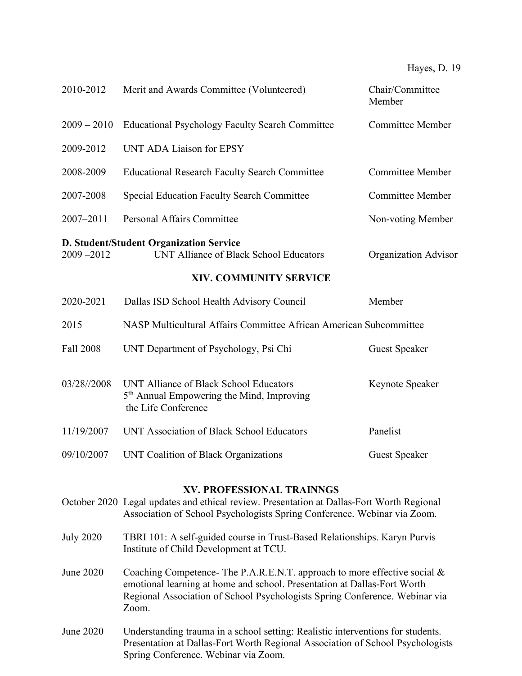| 2010-2012     | Merit and Awards Committee (Volunteered)                                                                               | Chair/Committee<br>Member |
|---------------|------------------------------------------------------------------------------------------------------------------------|---------------------------|
| $2009 - 2010$ | <b>Educational Psychology Faculty Search Committee</b>                                                                 | <b>Committee Member</b>   |
| 2009-2012     | <b>UNT ADA Liaison for EPSY</b>                                                                                        |                           |
| 2008-2009     | <b>Educational Research Faculty Search Committee</b>                                                                   | <b>Committee Member</b>   |
| 2007-2008     | <b>Special Education Faculty Search Committee</b>                                                                      | <b>Committee Member</b>   |
| 2007-2011     | <b>Personal Affairs Committee</b>                                                                                      | Non-voting Member         |
| $2009 - 2012$ | <b>D. Student/Student Organization Service</b><br>UNT Alliance of Black School Educators                               | Organization Advisor      |
|               | <b>XIV. COMMUNITY SERVICE</b>                                                                                          |                           |
| 2020-2021     | Dallas ISD School Health Advisory Council                                                                              | Member                    |
| 2015          | NASP Multicultural Affairs Committee African American Subcommittee                                                     |                           |
| Fall 2008     | UNT Department of Psychology, Psi Chi                                                                                  | <b>Guest Speaker</b>      |
| 03/28//2008   | UNT Alliance of Black School Educators<br>5 <sup>th</sup> Annual Empowering the Mind, Improving<br>the Life Conference | Keynote Speaker           |
| 11/19/2007    | UNT Association of Black School Educators                                                                              | Panelist                  |
| 09/10/2007    | <b>UNT Coalition of Black Organizations</b>                                                                            | <b>Guest Speaker</b>      |
|               |                                                                                                                        |                           |

#### **XV. PROFESSIONAL TRAINNGS**

- October 2020 Legal updates and ethical review. Presentation at Dallas-Fort Worth Regional Association of School Psychologists Spring Conference. Webinar via Zoom.
- July 2020 TBRI 101: A self-guided course in Trust-Based Relationships. Karyn Purvis Institute of Child Development at TCU.
- June 2020 Coaching Competence- The P.A.R.E.N.T. approach to more effective social & emotional learning at home and school. Presentation at Dallas-Fort Worth Regional Association of School Psychologists Spring Conference. Webinar via Zoom.
- June 2020 Understanding trauma in a school setting: Realistic interventions for students. Presentation at Dallas-Fort Worth Regional Association of School Psychologists Spring Conference. Webinar via Zoom.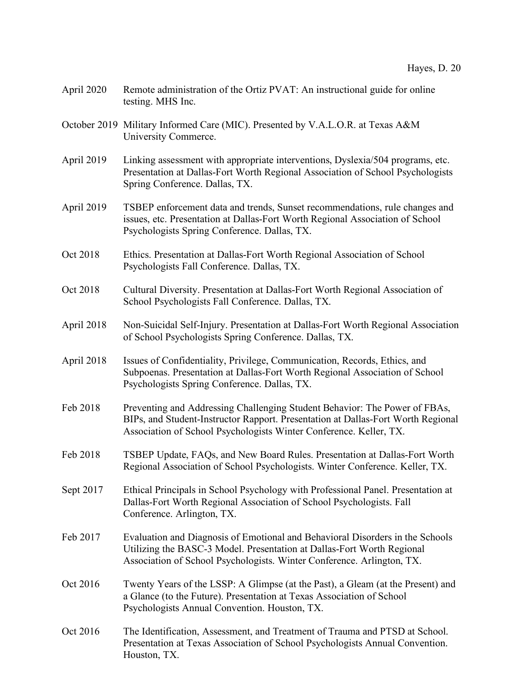- April 2020 Remote administration of the Ortiz PVAT: An instructional guide for online testing. MHS Inc.
- October 2019 Military Informed Care (MIC). Presented by V.A.L.O.R. at Texas A&M University Commerce.
- April 2019 Linking assessment with appropriate interventions, Dyslexia/504 programs, etc. Presentation at Dallas-Fort Worth Regional Association of School Psychologists Spring Conference. Dallas, TX.
- April 2019 TSBEP enforcement data and trends, Sunset recommendations, rule changes and issues, etc. Presentation at Dallas-Fort Worth Regional Association of School Psychologists Spring Conference. Dallas, TX.
- Oct 2018 Ethics. Presentation at Dallas-Fort Worth Regional Association of School Psychologists Fall Conference. Dallas, TX.
- Oct 2018 Cultural Diversity. Presentation at Dallas-Fort Worth Regional Association of School Psychologists Fall Conference. Dallas, TX.
- April 2018 Non-Suicidal Self-Injury. Presentation at Dallas-Fort Worth Regional Association of School Psychologists Spring Conference. Dallas, TX.
- April 2018 Issues of Confidentiality, Privilege, Communication, Records, Ethics, and Subpoenas. Presentation at Dallas-Fort Worth Regional Association of School Psychologists Spring Conference. Dallas, TX.
- Feb 2018 Preventing and Addressing Challenging Student Behavior: The Power of FBAs, BIPs, and Student-Instructor Rapport. Presentation at Dallas-Fort Worth Regional Association of School Psychologists Winter Conference. Keller, TX.
- Feb 2018 TSBEP Update, FAQs, and New Board Rules. Presentation at Dallas-Fort Worth Regional Association of School Psychologists. Winter Conference. Keller, TX.
- Sept 2017 Ethical Principals in School Psychology with Professional Panel. Presentation at Dallas-Fort Worth Regional Association of School Psychologists. Fall Conference. Arlington, TX.
- Feb 2017 Evaluation and Diagnosis of Emotional and Behavioral Disorders in the Schools Utilizing the BASC-3 Model. Presentation at Dallas-Fort Worth Regional Association of School Psychologists. Winter Conference. Arlington, TX.
- Oct 2016 Twenty Years of the LSSP: A Glimpse (at the Past), a Gleam (at the Present) and a Glance (to the Future). Presentation at Texas Association of School Psychologists Annual Convention. Houston, TX.
- Oct 2016 The Identification, Assessment, and Treatment of Trauma and PTSD at School. Presentation at Texas Association of School Psychologists Annual Convention. Houston, TX.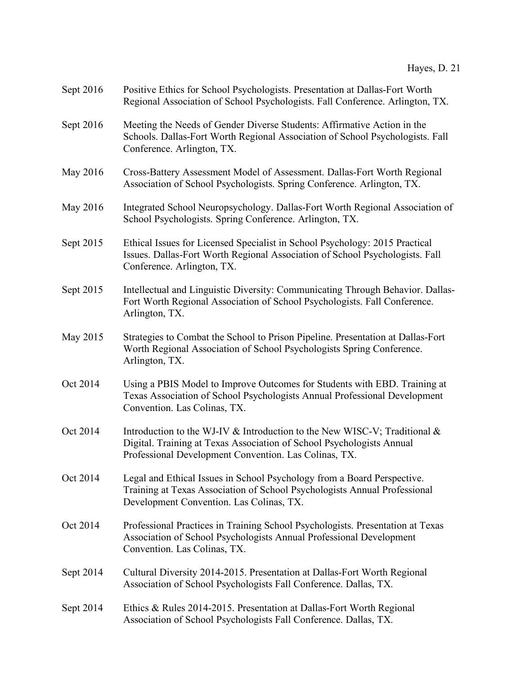| Sept 2016 | Positive Ethics for School Psychologists. Presentation at Dallas-Fort Worth<br>Regional Association of School Psychologists. Fall Conference. Arlington, TX.                                                |
|-----------|-------------------------------------------------------------------------------------------------------------------------------------------------------------------------------------------------------------|
| Sept 2016 | Meeting the Needs of Gender Diverse Students: Affirmative Action in the<br>Schools. Dallas-Fort Worth Regional Association of School Psychologists. Fall<br>Conference. Arlington, TX.                      |
| May 2016  | Cross-Battery Assessment Model of Assessment. Dallas-Fort Worth Regional<br>Association of School Psychologists. Spring Conference. Arlington, TX.                                                          |
| May 2016  | Integrated School Neuropsychology. Dallas-Fort Worth Regional Association of<br>School Psychologists. Spring Conference. Arlington, TX.                                                                     |
| Sept 2015 | Ethical Issues for Licensed Specialist in School Psychology: 2015 Practical<br>Issues. Dallas-Fort Worth Regional Association of School Psychologists. Fall<br>Conference. Arlington, TX.                   |
| Sept 2015 | Intellectual and Linguistic Diversity: Communicating Through Behavior. Dallas-<br>Fort Worth Regional Association of School Psychologists. Fall Conference.<br>Arlington, TX.                               |
| May 2015  | Strategies to Combat the School to Prison Pipeline. Presentation at Dallas-Fort<br>Worth Regional Association of School Psychologists Spring Conference.<br>Arlington, TX.                                  |
| Oct 2014  | Using a PBIS Model to Improve Outcomes for Students with EBD. Training at<br>Texas Association of School Psychologists Annual Professional Development<br>Convention. Las Colinas, TX.                      |
| Oct 2014  | Introduction to the WJ-IV & Introduction to the New WISC-V; Traditional &<br>Digital. Training at Texas Association of School Psychologists Annual<br>Professional Development Convention. Las Colinas, TX. |
| Oct 2014  | Legal and Ethical Issues in School Psychology from a Board Perspective.<br>Training at Texas Association of School Psychologists Annual Professional<br>Development Convention. Las Colinas, TX.            |
| Oct 2014  | Professional Practices in Training School Psychologists. Presentation at Texas<br>Association of School Psychologists Annual Professional Development<br>Convention. Las Colinas, TX.                       |
| Sept 2014 | Cultural Diversity 2014-2015. Presentation at Dallas-Fort Worth Regional<br>Association of School Psychologists Fall Conference. Dallas, TX.                                                                |
| Sept 2014 | Ethics & Rules 2014-2015. Presentation at Dallas-Fort Worth Regional<br>Association of School Psychologists Fall Conference. Dallas, TX.                                                                    |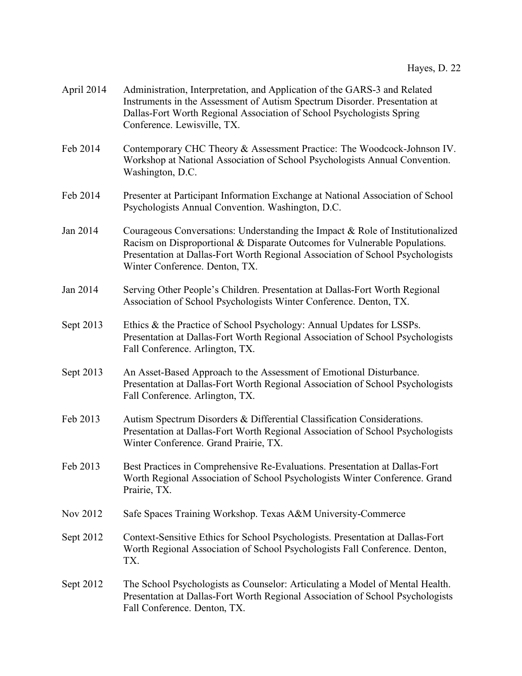| April 2014 | Administration, Interpretation, and Application of the GARS-3 and Related<br>Instruments in the Assessment of Autism Spectrum Disorder. Presentation at<br>Dallas-Fort Worth Regional Association of School Psychologists Spring<br>Conference. Lewisville, TX.                    |
|------------|------------------------------------------------------------------------------------------------------------------------------------------------------------------------------------------------------------------------------------------------------------------------------------|
| Feb 2014   | Contemporary CHC Theory & Assessment Practice: The Woodcock-Johnson IV.<br>Workshop at National Association of School Psychologists Annual Convention.<br>Washington, D.C.                                                                                                         |
| Feb 2014   | Presenter at Participant Information Exchange at National Association of School<br>Psychologists Annual Convention. Washington, D.C.                                                                                                                                               |
| Jan 2014   | Courageous Conversations: Understanding the Impact $&$ Role of Institutionalized<br>Racism on Disproportional & Disparate Outcomes for Vulnerable Populations.<br>Presentation at Dallas-Fort Worth Regional Association of School Psychologists<br>Winter Conference. Denton, TX. |
| Jan 2014   | Serving Other People's Children. Presentation at Dallas-Fort Worth Regional<br>Association of School Psychologists Winter Conference. Denton, TX.                                                                                                                                  |
| Sept 2013  | Ethics & the Practice of School Psychology: Annual Updates for LSSPs.<br>Presentation at Dallas-Fort Worth Regional Association of School Psychologists<br>Fall Conference. Arlington, TX.                                                                                         |
| Sept 2013  | An Asset-Based Approach to the Assessment of Emotional Disturbance.<br>Presentation at Dallas-Fort Worth Regional Association of School Psychologists<br>Fall Conference. Arlington, TX.                                                                                           |
| Feb 2013   | Autism Spectrum Disorders & Differential Classification Considerations.<br>Presentation at Dallas-Fort Worth Regional Association of School Psychologists<br>Winter Conference. Grand Prairie, TX.                                                                                 |
| Feb 2013   | Best Practices in Comprehensive Re-Evaluations. Presentation at Dallas-Fort<br>Worth Regional Association of School Psychologists Winter Conference. Grand<br>Prairie, TX.                                                                                                         |
| Nov 2012   | Safe Spaces Training Workshop. Texas A&M University-Commerce                                                                                                                                                                                                                       |
| Sept 2012  | Context-Sensitive Ethics for School Psychologists. Presentation at Dallas-Fort<br>Worth Regional Association of School Psychologists Fall Conference. Denton,<br>TX.                                                                                                               |
| Sept 2012  | The School Psychologists as Counselor: Articulating a Model of Mental Health.<br>Presentation at Dallas-Fort Worth Regional Association of School Psychologists<br>Fall Conference. Denton, TX.                                                                                    |